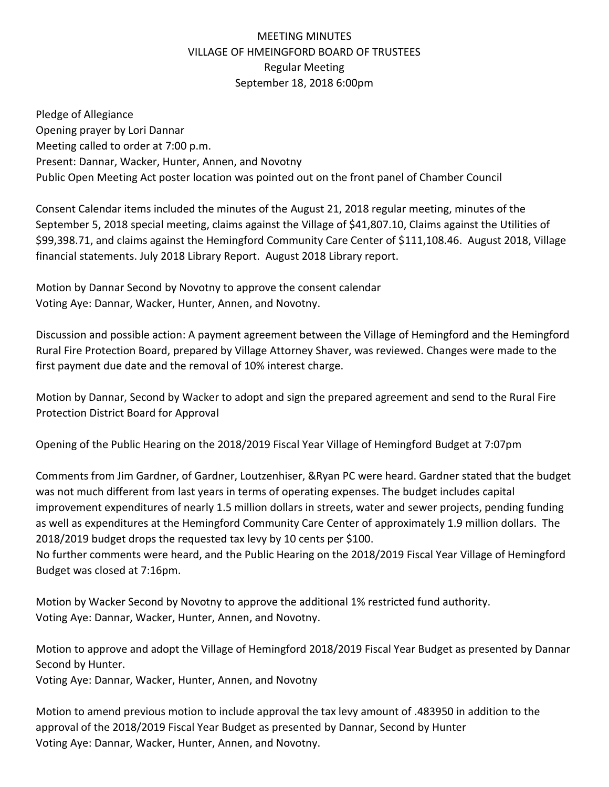## MEETING MINUTES VILLAGE OF HMEINGFORD BOARD OF TRUSTEES Regular Meeting September 18, 2018 6:00pm

Pledge of Allegiance Opening prayer by Lori Dannar Meeting called to order at 7:00 p.m. Present: Dannar, Wacker, Hunter, Annen, and Novotny Public Open Meeting Act poster location was pointed out on the front panel of Chamber Council

Consent Calendar items included the minutes of the August 21, 2018 regular meeting, minutes of the September 5, 2018 special meeting, claims against the Village of \$41,807.10, Claims against the Utilities of \$99,398.71, and claims against the Hemingford Community Care Center of \$111,108.46. August 2018, Village financial statements. July 2018 Library Report. August 2018 Library report.

Motion by Dannar Second by Novotny to approve the consent calendar Voting Aye: Dannar, Wacker, Hunter, Annen, and Novotny.

Discussion and possible action: A payment agreement between the Village of Hemingford and the Hemingford Rural Fire Protection Board, prepared by Village Attorney Shaver, was reviewed. Changes were made to the first payment due date and the removal of 10% interest charge.

Motion by Dannar, Second by Wacker to adopt and sign the prepared agreement and send to the Rural Fire Protection District Board for Approval

Opening of the Public Hearing on the 2018/2019 Fiscal Year Village of Hemingford Budget at 7:07pm

Comments from Jim Gardner, of Gardner, Loutzenhiser, &Ryan PC were heard. Gardner stated that the budget was not much different from last years in terms of operating expenses. The budget includes capital improvement expenditures of nearly 1.5 million dollars in streets, water and sewer projects, pending funding as well as expenditures at the Hemingford Community Care Center of approximately 1.9 million dollars. The 2018/2019 budget drops the requested tax levy by 10 cents per \$100.

No further comments were heard, and the Public Hearing on the 2018/2019 Fiscal Year Village of Hemingford Budget was closed at 7:16pm.

Motion by Wacker Second by Novotny to approve the additional 1% restricted fund authority. Voting Aye: Dannar, Wacker, Hunter, Annen, and Novotny.

Motion to approve and adopt the Village of Hemingford 2018/2019 Fiscal Year Budget as presented by Dannar Second by Hunter.

Voting Aye: Dannar, Wacker, Hunter, Annen, and Novotny

Motion to amend previous motion to include approval the tax levy amount of .483950 in addition to the approval of the 2018/2019 Fiscal Year Budget as presented by Dannar, Second by Hunter Voting Aye: Dannar, Wacker, Hunter, Annen, and Novotny.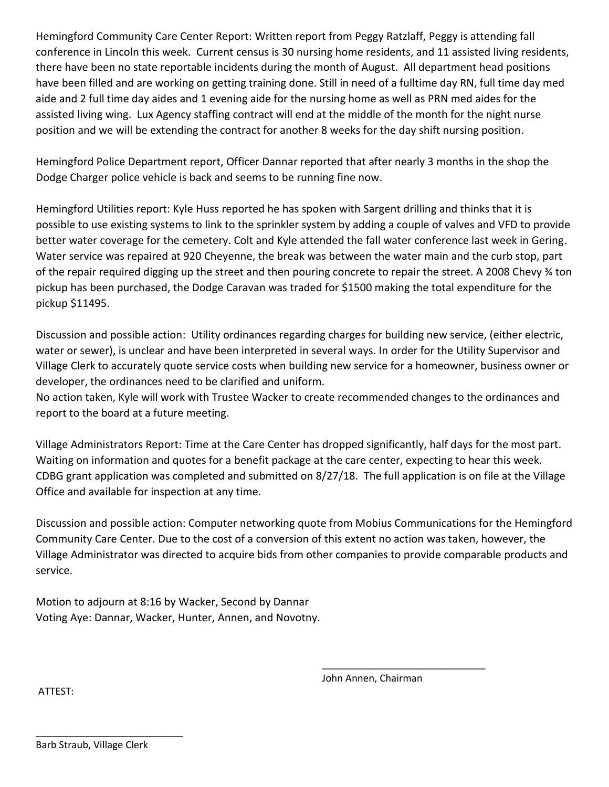Hemingford Community Care Center Report: Written report from Peggy Ratzlaff, Peggy is attending fall conference in Lincoln this week. Current census is 30 nursing home residents, and 11 assisted living residents, there have been no state reportable incidents during the month of August. All department head positions have been filled and are working on getting training done. Still in need of a fulltime day RN, full time day med aide and 2 full time day aides and 1 evening aide for the nursing home as well as PRN med aides for the assisted living wing. Lux Agency staffing contract will end at the middle of the month for the night nurse position and we will be extending the contract for another 8 weeks for the day shift nursing position.

Hemingford Police Department report, Officer Dannar reported that after nearly 3 months in the shop the Dodge Charger police vehicle is back and seems to be running fine now.

Hemingford Utilities report: Kyle Huss reported he has spoken with Sargent drilling and thinks that it is possible to use existing systems to link to the sprinkler system by adding a couple of valves and VFD to provide better water coverage for the cemetery. Colt and Kyle attended the fall water conference last week in Gering. Water service was repaired at 920 Cheyenne, the break was between the water main and the curb stop, part of the repair required digging up the street and then pouring concrete to repair the street. A 2008 Chevy ¾ ton pickup has been purchased, the Dodge Caravan was traded for \$1500 making the total expenditure for the pickup \$11495.

Discussion and possible action: Utility ordinances regarding charges for building new service, (either electric, water or sewer), is unclear and have been interpreted in several ways. In order for the Utility Supervisor and Village Clerk to accurately quote service costs when building new service for a homeowner, business owner or developer, the ordinances need to be clarified and uniform.

No action taken, Kyle will work with Trustee Wacker to create recommended changes to the ordinances and report to the board at a future meeting.

Village Administrators Report: Time at the Care Center has dropped significantly, half days for the most part. Waiting on information and quotes for a benefit package at the care center, expecting to hear this week. CDBG grant application was completed and submitted on 8/27/18. The full application is on file at the Village Office and available for inspection at any time.

Discussion and possible action: Computer networking quote from Mobius Communications for the Hemingford Community Care Center. Due to the cost of a conversion of this extent no action was taken, however, the Village Administrator was directed to acquire bids from other companies to provide comparable products and service.

Motion to adjourn at 8:16 by Wacker, Second by Dannar Voting Aye: Dannar, Wacker, Hunter, Annen, and Novotny.

John Annen, Chairman

\_\_\_\_\_\_\_\_\_\_\_\_\_\_\_\_\_\_\_\_\_\_\_\_\_\_\_\_\_\_

ATTEST:

\_\_\_\_\_\_\_\_\_\_\_\_\_\_\_\_\_\_\_\_\_\_\_\_\_\_\_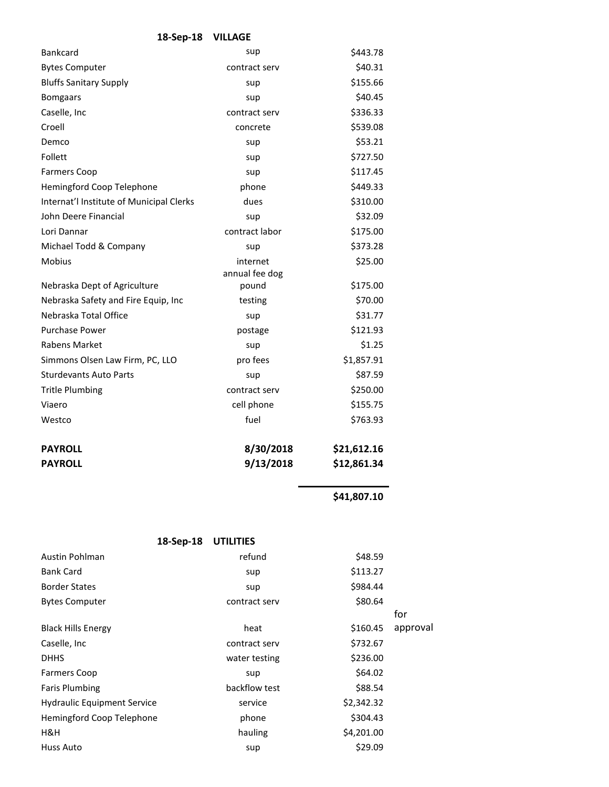| <b>Bankcard</b>                          | sup            | \$443.78    |
|------------------------------------------|----------------|-------------|
| <b>Bytes Computer</b>                    | contract serv  | \$40.31     |
| <b>Bluffs Sanitary Supply</b>            | sup            | \$155.66    |
| <b>Bomgaars</b>                          | sup            | \$40.45     |
| Caselle, Inc                             | contract serv  | \$336.33    |
| Croell                                   | concrete       | \$539.08    |
| Demco                                    | sup            | \$53.21     |
| Follett                                  | sup            | \$727.50    |
| <b>Farmers Coop</b>                      | sup            | \$117.45    |
| Hemingford Coop Telephone                | phone          | \$449.33    |
| Internat'l Institute of Municipal Clerks | dues           | \$310.00    |
| John Deere Financial                     | sup            | \$32.09     |
| Lori Dannar                              | contract labor | \$175.00    |
| Michael Todd & Company                   | sup            | \$373.28    |
| <b>Mobius</b>                            | internet       | \$25.00     |
|                                          | annual fee dog |             |
| Nebraska Dept of Agriculture             | pound          | \$175.00    |
| Nebraska Safety and Fire Equip, Inc      | testing        | \$70.00     |
| Nebraska Total Office                    | sup            | \$31.77     |
| <b>Purchase Power</b>                    | postage        | \$121.93    |
| <b>Rabens Market</b>                     | sup            | \$1.25      |
| Simmons Olsen Law Firm, PC, LLO          | pro fees       | \$1,857.91  |
| <b>Sturdevants Auto Parts</b>            | sup            | \$87.59     |
| <b>Tritle Plumbing</b>                   | contract serv  | \$250.00    |
| Viaero                                   | cell phone     | \$155.75    |
| Westco                                   | fuel           | \$763.93    |
| <b>PAYROLL</b>                           | 8/30/2018      | \$21,612.16 |
| <b>PAYROLL</b>                           | 9/13/2018      | \$12,861.34 |

**\$41,807.10** 

| 18-Sep-18                          | <b>UTILITIES</b> |            |          |
|------------------------------------|------------------|------------|----------|
| Austin Pohlman                     | refund           | \$48.59    |          |
| <b>Bank Card</b>                   | sup              | \$113.27   |          |
| <b>Border States</b>               | sup              | \$984.44   |          |
| <b>Bytes Computer</b>              | contract serv    | \$80.64    |          |
|                                    |                  |            | for      |
| <b>Black Hills Energy</b>          | heat             | \$160.45   | approval |
| Caselle, Inc.                      | contract serv    | \$732.67   |          |
| <b>DHHS</b>                        | water testing    | \$236.00   |          |
| <b>Farmers Coop</b>                | sup              | \$64.02    |          |
| <b>Faris Plumbing</b>              | backflow test    | \$88.54    |          |
| <b>Hydraulic Equipment Service</b> | service          | \$2,342.32 |          |
| Hemingford Coop Telephone          | phone            | \$304.43   |          |
| H&H                                | hauling          | \$4,201.00 |          |
| Huss Auto                          | sup              | \$29.09    |          |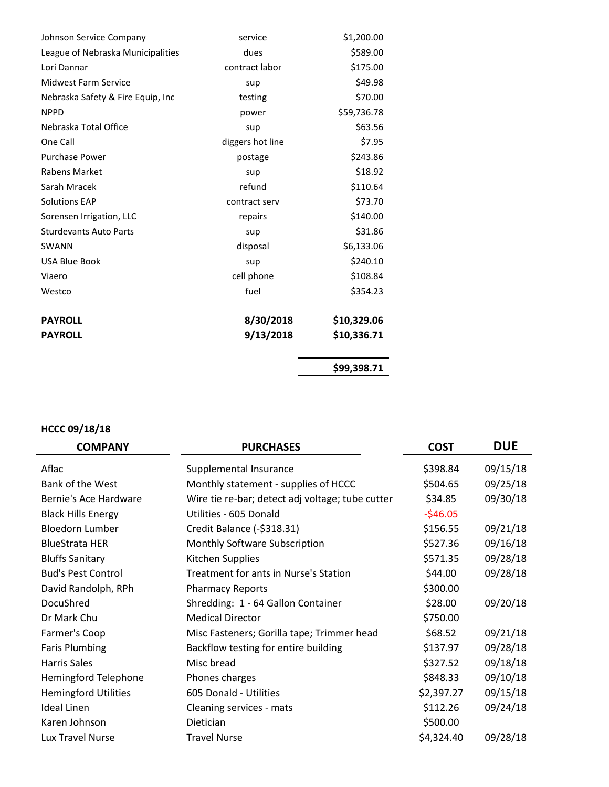| Johnson Service Company           | service          | \$1,200.00  |
|-----------------------------------|------------------|-------------|
| League of Nebraska Municipalities | dues             | \$589.00    |
| Lori Dannar                       | contract labor   | \$175.00    |
| <b>Midwest Farm Service</b>       | sup              | \$49.98     |
| Nebraska Safety & Fire Equip, Inc | testing          | \$70.00     |
| <b>NPPD</b>                       | power            | \$59,736.78 |
| Nebraska Total Office             | sup              | \$63.56     |
| One Call                          | diggers hot line | \$7.95      |
| <b>Purchase Power</b>             | postage          | \$243.86    |
| Rabens Market                     | sup              | \$18.92     |
| Sarah Mracek                      | refund           | \$110.64    |
| <b>Solutions EAP</b>              | contract serv    | \$73.70     |
| Sorensen Irrigation, LLC          | repairs          | \$140.00    |
| <b>Sturdevants Auto Parts</b>     | sup              | \$31.86     |
| <b>SWANN</b>                      | disposal         | \$6,133.06  |
| <b>USA Blue Book</b>              | sup              | \$240.10    |
| Viaero                            | cell phone       | \$108.84    |
| Westco                            | fuel             | \$354.23    |
| <b>PAYROLL</b>                    | 8/30/2018        | \$10,329.06 |
| <b>PAYROLL</b>                    | 9/13/2018        | \$10,336.71 |
|                                   |                  | \$99,398.71 |

## **HCCC 09/18/18**

| <b>COMPANY</b>              | <b>PURCHASES</b>                                 | <b>COST</b> | <b>DUE</b> |
|-----------------------------|--------------------------------------------------|-------------|------------|
| Aflac                       | Supplemental Insurance                           | \$398.84    | 09/15/18   |
| Bank of the West            | Monthly statement - supplies of HCCC             | \$504.65    | 09/25/18   |
| Bernie's Ace Hardware       | Wire tie re-bar; detect adj voltage; tube cutter | \$34.85     | 09/30/18   |
| <b>Black Hills Energy</b>   | Utilities - 605 Donald                           | $-546.05$   |            |
| <b>Bloedorn Lumber</b>      | Credit Balance (-\$318.31)                       | \$156.55    | 09/21/18   |
| <b>BlueStrata HER</b>       | Monthly Software Subscription                    | \$527.36    | 09/16/18   |
| <b>Bluffs Sanitary</b>      | Kitchen Supplies                                 | \$571.35    | 09/28/18   |
| <b>Bud's Pest Control</b>   | Treatment for ants in Nurse's Station            | \$44.00     | 09/28/18   |
| David Randolph, RPh         | <b>Pharmacy Reports</b>                          | \$300.00    |            |
| DocuShred                   | Shredding: 1 - 64 Gallon Container               | \$28.00     | 09/20/18   |
| Dr Mark Chu                 | <b>Medical Director</b>                          | \$750.00    |            |
| Farmer's Coop               | Misc Fasteners; Gorilla tape; Trimmer head       | \$68.52     | 09/21/18   |
| <b>Faris Plumbing</b>       | Backflow testing for entire building             | \$137.97    | 09/28/18   |
| Harris Sales                | Misc bread                                       | \$327.52    | 09/18/18   |
| <b>Hemingford Telephone</b> | Phones charges                                   | \$848.33    | 09/10/18   |
| <b>Hemingford Utilities</b> | 605 Donald - Utilities                           | \$2,397.27  | 09/15/18   |
| <b>Ideal Linen</b>          | Cleaning services - mats                         | \$112.26    | 09/24/18   |
| Karen Johnson               | Dietician                                        | \$500.00    |            |
| Lux Travel Nurse            | <b>Travel Nurse</b>                              | \$4,324.40  | 09/28/18   |